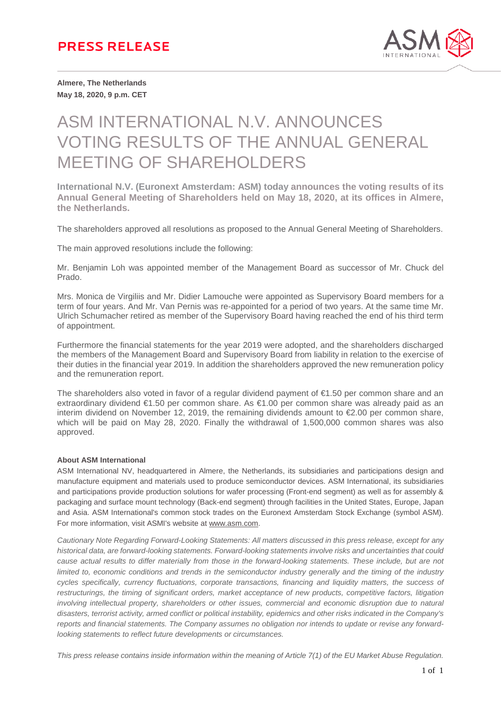

**Almere, The Netherlands May 18, 2020, 9 p.m. CET**

# ASM INTERNATIONAL N.V. ANNOUNCES VOTING RESULTS OF THE ANNUAL GENERAL MEETING OF SHAREHOLDERS

**International N.V. (Euronext Amsterdam: ASM) today announces the voting results of its Annual General Meeting of Shareholders held on May 18, 2020, at its offices in Almere, the Netherlands.** 

The shareholders approved all resolutions as proposed to the Annual General Meeting of Shareholders.

The main approved resolutions include the following:

Mr. Benjamin Loh was appointed member of the Management Board as successor of Mr. Chuck del Prado.

Mrs. Monica de Virgiliis and Mr. Didier Lamouche were appointed as Supervisory Board members for a term of four years. And Mr. Van Pernis was re-appointed for a period of two years. At the same time Mr. Ulrich Schumacher retired as member of the Supervisory Board having reached the end of his third term of appointment.

Furthermore the financial statements for the year 2019 were adopted, and the shareholders discharged the members of the Management Board and Supervisory Board from liability in relation to the exercise of their duties in the financial year 2019. In addition the shareholders approved the new remuneration policy and the remuneration report.

The shareholders also voted in favor of a regular dividend payment of €1.50 per common share and an extraordinary dividend €1.50 per common share. As €1.00 per common share was already paid as an interim dividend on November 12, 2019, the remaining dividends amount to €2.00 per common share, which will be paid on May 28, 2020. Finally the withdrawal of 1,500,000 common shares was also approved.

#### **About ASM International**

ASM International NV, headquartered in Almere, the Netherlands, its subsidiaries and participations design and manufacture equipment and materials used to produce semiconductor devices. ASM International, its subsidiaries and participations provide production solutions for wafer processing (Front-end segment) as well as for assembly & packaging and surface mount technology (Back-end segment) through facilities in the United States, Europe, Japan and Asia. ASM International's common stock trades on the Euronext Amsterdam Stock Exchange (symbol ASM). For more information, visit ASMI's website at www.asm.com.

*Cautionary Note Regarding Forward-Looking Statements: All matters discussed in this press release, except for any historical data, are forward-looking statements. Forward-looking statements involve risks and uncertainties that could cause actual results to differ materially from those in the forward-looking statements. These include, but are not limited to, economic conditions and trends in the semiconductor industry generally and the timing of the industry cycles specifically, currency fluctuations, corporate transactions, financing and liquidity matters, the success of restructurings, the timing of significant orders, market acceptance of new products, competitive factors, litigation involving intellectual property, shareholders or other issues, commercial and economic disruption due to natural disasters, terrorist activity, armed conflict or political instability, epidemics and other risks indicated in the Company's reports and financial statements. The Company assumes no obligation nor intends to update or revise any forwardlooking statements to reflect future developments or circumstances.*

*This press release contains inside information within the meaning of Article 7(1) of the EU Market Abuse Regulation.*